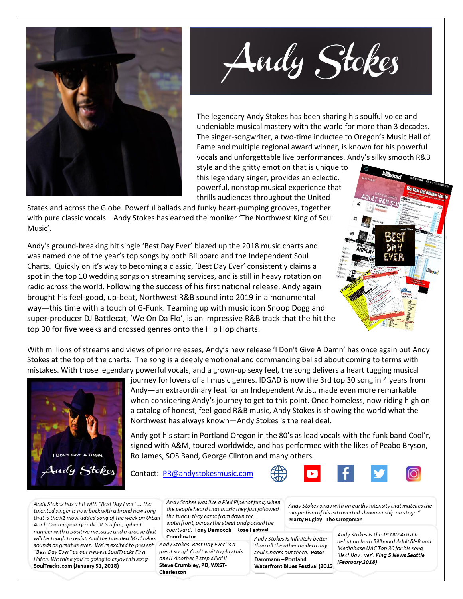

The legendary Andy Stokes has been sharing his soulful voice and undeniable musical mastery with the world for more than 3 decades. The singer-songwriter, a two-time inductee to Oregon's Music Hall of Fame and multiple regional award winner, is known for his powerful vocals and unforgettable live performances. Andy's silky smooth R&B

style and the gritty emotion that is unique to this legendary singer, provides an eclectic, powerful, nonstop musical experience that thrills audiences throughout the United

States and across the Globe. Powerful ballads and funky heart-pumping grooves, together with pure classic vocals—Andy Stokes has earned the moniker 'The Northwest King of Soul Music'.

Andy's ground-breaking hit single 'Best Day Ever' blazed up the 2018 music charts and was named one of the year's top songs by both Billboard and the Independent Soul Charts. Quickly on it's way to becoming a classic, 'Best Day Ever' consistently claims a spot in the top 10 wedding songs on streaming services, and is still in heavy rotation on radio across the world. Following the success of his first national release, Andy again brought his feel-good, up-beat, Northwest R&B sound into 2019 in a monumental way—this time with a touch of G-Funk. Teaming up with music icon Snoop Dogg and super-producer DJ Battlecat, 'We On Da Flo', is an impressive R&B track that the hit the top 30 for five weeks and crossed genres onto the Hip Hop charts.

With millions of streams and views of prior releases, Andy's new release 'I Don't Give A Damn' has once again put Andy Stokes at the top of the charts. The song is a deeply emotional and commanding ballad about coming to terms with mistakes. With those legendary powerful vocals, and a grown-up sexy feel, the song delivers a heart tugging musical



journey for lovers of all music genres. IDGAD is now the 3rd top 30 song in 4 years from Andy—an extraordinary feat for an Independent Artist, made even more remarkable when considering Andy's journey to get to this point. Once homeless, now riding high on a catalog of honest, feel-good R&B music, Andy Stokes is showing the world what the Northwest has always known—Andy Stokes is the real deal.

Andy got his start in Portland Oregon in the 80's as lead vocals with the funk band Cool'r, signed with A&M, toured worldwide, and has performed with the likes of Peabo Bryson, Ro James, SOS Band, George Clinton and many others.

Contact: [PR@andystokesmusic.com](mailto:PR@andystokesmusic.com)



Andy Stokes has a hit with "Best Day Ever" ... The talented singer is now back with a brand new song that is the #1 most added song of the week on Urban Adult Contemporary radio. It is a fun, upbeat number with a positive message and a groove that will be tough to resist. And the talented Mr. Stokes sounds as great as ever. We're excited to present Andy Stokes 'Best Day Ever' is a "Best Day Ever" as our newest SoulTracks First Listen. We think you're going to enjoy this song. SoulTracks.com (January 31, 2018)

Andy Stokes was like a Pied Piper of funk, when the people heard that music they just followed the tunes, they came from down the waterfront, across the street and packed the courtyard. Tony Democoli-Rose Festival Coordinator

great song! Can't wait to play this one!! Another 2 step Killa!!! Steve Crumbley, PD, WXST-Charleston

Andy Stokes sings with an earthy intensity that matches the magnetism of his extroverted showmanship on stage." Marty Hugley - The Oregonian

Andy Stokes is infinitely better than all the other modern day soul singers out there. Peter Dammann-Portland Waterfront Blues Festival (2015,

Andy Stokes is the 1st NW Artist to debut on both Billboard Adult R&B and Mediabase UAC Top 30 for his song 'Best Day Ever'. King 5 News Seattle (February 2018)